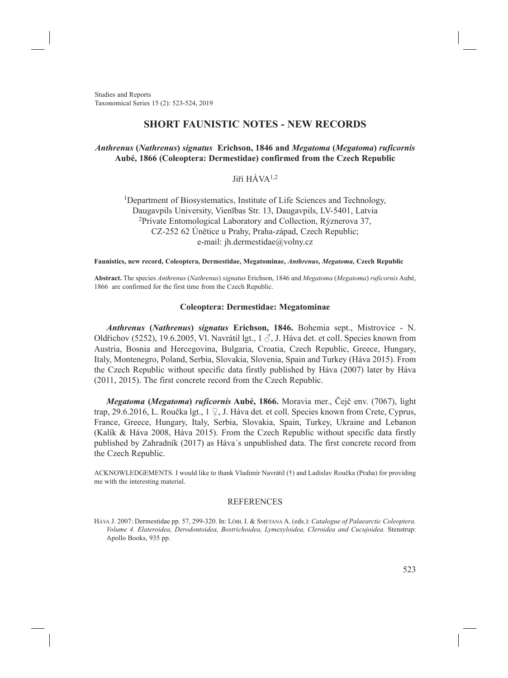Studies and Reports Taxonomical Series 15 (2): 523-524, 2019

# **SHORT FAUNISTIC NOTES - NEW RECORDS**

## *Anthrenus* **(***Nathrenus***)** *signatus* **Erichson, 1846 and** *Megatoma* **(***Megatoma***)** *ruficornis* **Aubé, 1866 (Coleoptera: Dermestidae) confirmed from the Czech Republic**

## Jiří HÁVA1,2

<sup>1</sup>Department of Biosystematics, Institute of Life Sciences and Technology, Daugavpils University, Vienības Str. 13, Daugavpils, LV-5401, Latvia <sup>2</sup>Private Entomological Laboratory and Collection, Rýznerova 37, CZ-252 62 Únětice u Prahy, Praha-západ, Czech Republic; e-mail: jh.dermestidae@volny.cz

#### **Faunistics, new record, Coleoptera, Dermestidae, Megatominae,** *Anthrenus***,** *Megatoma***, Czech Republic**

**Abstract.** The species *Anthrenus* (*Nathrenus*) *signatus* Erichson, 1846 and *Megatoma* (*Megatoma*) *ruficornis* Aubé, 1866 are confirmed for the first time from the Czech Republic.

### **Coleoptera: Dermestidae: Megatominae**

*Anthrenus* **(***Nathrenus***)** *signatus* **Erichson, 1846.** Bohemia sept., Mistrovice - N. Oldřichov (5252), 19.6.2005, Vl. Navrátil lgt.,  $1 \circ$ , J. Háva det. et coll. Species known from Austria, Bosnia and Hercegovina, Bulgaria, Croatia, Czech Republic, Greece, Hungary, Italy, Montenegro, Poland, Serbia, Slovakia, Slovenia, Spain and Turkey (Háva 2015). From the Czech Republic without specific data firstly published by Háva (2007) later by Háva (2011, 2015). The first concrete record from the Czech Republic.

*Megatoma* **(***Megatoma***)** *ruficornis* **Aubé, 1866.** Moravia mer., Čejč env. (7067), light trap, 29.6.2016, L. Roučka lgt., 1 ♀, J. Háva det. et coll. Species known from Crete, Cyprus, France, Greece, Hungary, Italy, Serbia, Slovakia, Spain, Turkey, Ukraine and Lebanon (Kalík & Háva 2008, Háva 2015). From the Czech Republic without specific data firstly published by Zahradník (2017) as Háva´s unpublished data. The first concrete record from the Czech Republic.

ACKNOWLEDGEMENTS. I would like to thank Vladimír Navrátil (†) and Ladislav Roučka (Praha) for providing me with the interesting material.

### REFERENCES

Háva J. 2007: Dermestidae pp. 57, 299-320. In: Löbl I. & Smetana A. (eds.): *Catalogue of Palaearctic Coleoptera. Volume 4. Elateroidea, Derodontoidea, Bostrichoidea, Lymexyloidea, Cleroidea and Cucujoidea.* Stenstrup: Apollo Books, 935 pp.